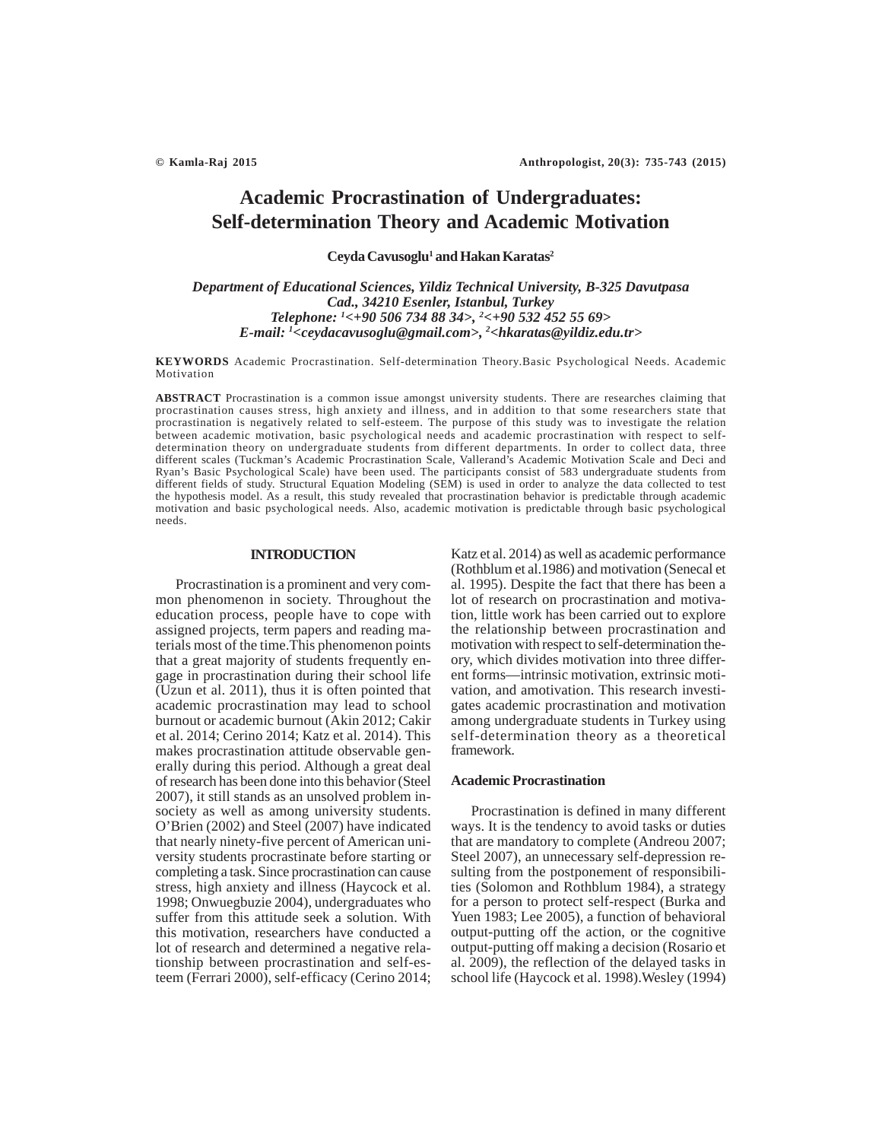# **Academic Procrastination of Undergraduates: Self-determination Theory and Academic Motivation**

 $C$ eyda Cavusoglu<sup>1</sup> and Hakan Karatas<sup>2</sup>

*Department of Educational Sciences, Yildiz Technical University, B-325 Davutpasa Cad., 34210 Esenler, Istanbul, Turkey Telephone: 1 <+90 506 734 88 34>, 2 <+90 532 452 55 69> E-mail: 1 <ceydacavusoglu@gmail.com>, 2 <hkaratas@yildiz.edu.tr>*

**KEYWORDS** Academic Procrastination. Self-determination Theory.Basic Psychological Needs. Academic Motivation

**ABSTRACT** Procrastination is a common issue amongst university students. There are researches claiming that procrastination causes stress, high anxiety and illness, and in addition to that some researchers state that procrastination is negatively related to self-esteem. The purpose of this study was to investigate the relation between academic motivation, basic psychological needs and academic procrastination with respect to selfdetermination theory on undergraduate students from different departments. In order to collect data, three different scales (Tuckman's Academic Procrastination Scale, Vallerand's Academic Motivation Scale and Deci and Ryan's Basic Psychological Scale) have been used. The participants consist of 583 undergraduate students from different fields of study. Structural Equation Modeling (SEM) is used in order to analyze the data collected to test the hypothesis model. As a result, this study revealed that procrastination behavior is predictable through academic motivation and basic psychological needs. Also, academic motivation is predictable through basic psychological needs.

# **INTRODUCTION**

Procrastination is a prominent and very common phenomenon in society. Throughout the education process, people have to cope with assigned projects, term papers and reading materials most of the time.This phenomenon points that a great majority of students frequently engage in procrastination during their school life (Uzun et al. 2011), thus it is often pointed that academic procrastination may lead to school burnout or academic burnout (Akin 2012; Cakir et al. 2014; Cerino 2014; Katz et al. 2014). This makes procrastination attitude observable generally during this period. Although a great deal of research has been done into this behavior (Steel 2007), it still stands as an unsolved problem insociety as well as among university students. O'Brien (2002) and Steel (2007) have indicated that nearly ninety-five percent of American university students procrastinate before starting or completing a task. Since procrastination can cause stress, high anxiety and illness (Haycock et al. 1998; Onwuegbuzie 2004), undergraduates who suffer from this attitude seek a solution. With this motivation, researchers have conducted a lot of research and determined a negative relationship between procrastination and self-esteem (Ferrari 2000), self-efficacy (Cerino 2014;

Katz et al. 2014) as well as academic performance (Rothblum et al.1986) and motivation (Senecal et al. 1995). Despite the fact that there has been a lot of research on procrastination and motivation, little work has been carried out to explore the relationship between procrastination and motivation with respect to self-determination theory, which divides motivation into three different forms—intrinsic motivation, extrinsic motivation, and amotivation. This research investigates academic procrastination and motivation among undergraduate students in Turkey using self-determination theory as a theoretical framework.

## **Academic Procrastination**

Procrastination is defined in many different ways. It is the tendency to avoid tasks or duties that are mandatory to complete (Andreou 2007; Steel 2007), an unnecessary self-depression resulting from the postponement of responsibilities (Solomon and Rothblum 1984), a strategy for a person to protect self-respect (Burka and Yuen 1983; Lee 2005), a function of behavioral output-putting off the action, or the cognitive output-putting off making a decision (Rosario et al. 2009), the reflection of the delayed tasks in school life (Haycock et al. 1998).Wesley (1994)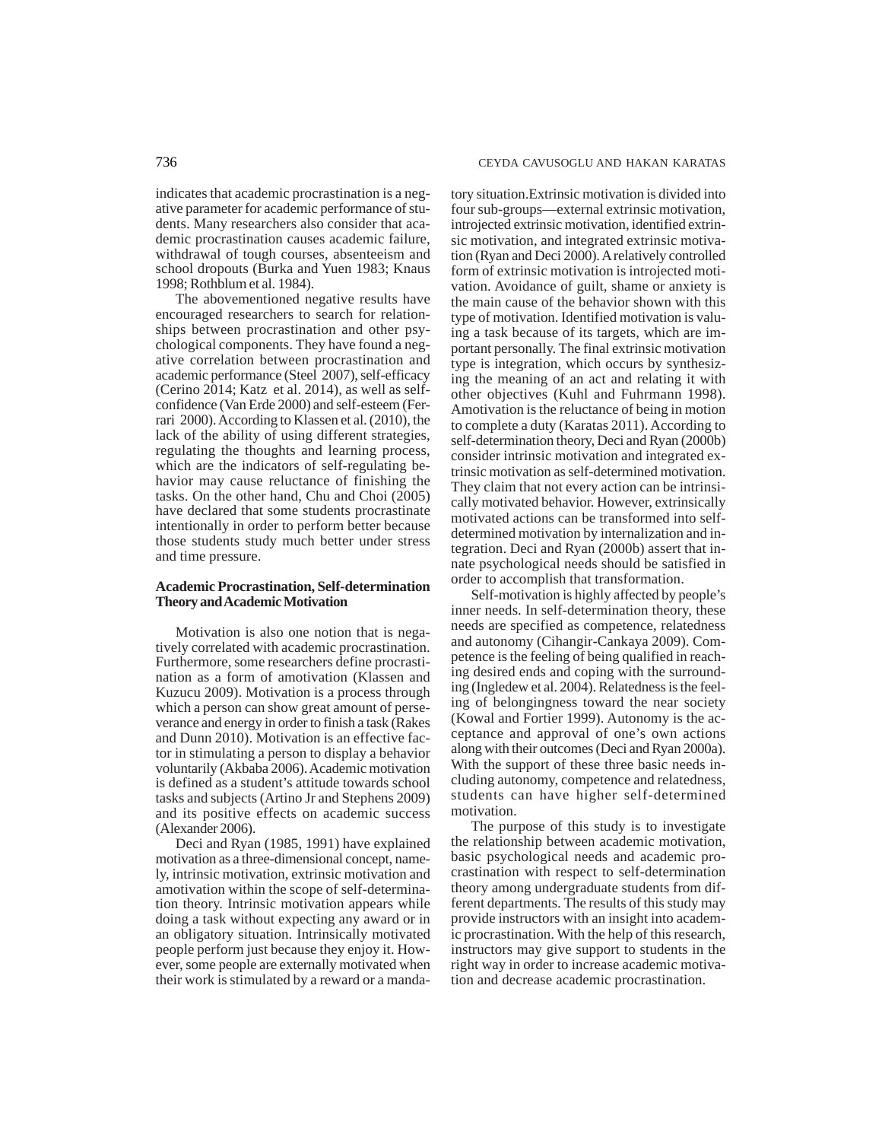indicates that academic procrastination is a negative parameter for academic performance of students. Many researchers also consider that academic procrastination causes academic failure, withdrawal of tough courses, absenteeism and school dropouts (Burka and Yuen 1983; Knaus 1998; Rothblum et al. 1984).

The abovementioned negative results have encouraged researchers to search for relationships between procrastination and other psychological components. They have found a negative correlation between procrastination and academic performance (Steel 2007), self-efficacy (Cerino 2014; Katz et al. 2014), as well as selfconfidence (Van Erde 2000) and self-esteem (Ferrari 2000). According to Klassen et al. (2010), the lack of the ability of using different strategies, regulating the thoughts and learning process, which are the indicators of self-regulating behavior may cause reluctance of finishing the tasks. On the other hand, Chu and Choi (2005) have declared that some students procrastinate intentionally in order to perform better because those students study much better under stress and time pressure.

# **Academic Procrastination, Self-determination Theory and Academic Motivation**

Motivation is also one notion that is negatively correlated with academic procrastination. Furthermore, some researchers define procrastination as a form of amotivation (Klassen and Kuzucu 2009). Motivation is a process through which a person can show great amount of perseverance and energy in order to finish a task (Rakes and Dunn 2010). Motivation is an effective factor in stimulating a person to display a behavior voluntarily (Akbaba 2006). Academic motivation is defined as a student's attitude towards school tasks and subjects (Artino Jr and Stephens 2009) and its positive effects on academic success (Alexander 2006).

Deci and Ryan (1985, 1991) have explained motivation as a three-dimensional concept, namely, intrinsic motivation, extrinsic motivation and amotivation within the scope of self-determination theory. Intrinsic motivation appears while doing a task without expecting any award or in an obligatory situation. Intrinsically motivated people perform just because they enjoy it. However, some people are externally motivated when their work is stimulated by a reward or a mandatory situation.Extrinsic motivation is divided into four sub-groups—external extrinsic motivation, introjected extrinsic motivation, identified extrinsic motivation, and integrated extrinsic motivation (Ryan and Deci 2000). A relatively controlled form of extrinsic motivation is introjected motivation. Avoidance of guilt, shame or anxiety is the main cause of the behavior shown with this type of motivation. Identified motivation is valuing a task because of its targets, which are important personally. The final extrinsic motivation type is integration, which occurs by synthesizing the meaning of an act and relating it with other objectives (Kuhl and Fuhrmann 1998). Amotivation is the reluctance of being in motion to complete a duty (Karatas 2011). According to self-determination theory, Deci and Ryan (2000b) consider intrinsic motivation and integrated extrinsic motivation as self-determined motivation. They claim that not every action can be intrinsically motivated behavior. However, extrinsically motivated actions can be transformed into selfdetermined motivation by internalization and integration. Deci and Ryan (2000b) assert that innate psychological needs should be satisfied in order to accomplish that transformation.

Self-motivation is highly affected by people's inner needs. In self-determination theory, these needs are specified as competence, relatedness and autonomy (Cihangir-Cankaya 2009). Competence is the feeling of being qualified in reaching desired ends and coping with the surrounding (Ingledew et al. 2004). Relatedness is the feeling of belongingness toward the near society (Kowal and Fortier 1999). Autonomy is the acceptance and approval of one's own actions along with their outcomes (Deci and Ryan 2000a). With the support of these three basic needs including autonomy, competence and relatedness, students can have higher self-determined motivation.

The purpose of this study is to investigate the relationship between academic motivation, basic psychological needs and academic procrastination with respect to self-determination theory among undergraduate students from different departments. The results of this study may provide instructors with an insight into academic procrastination. With the help of this research, instructors may give support to students in the right way in order to increase academic motivation and decrease academic procrastination.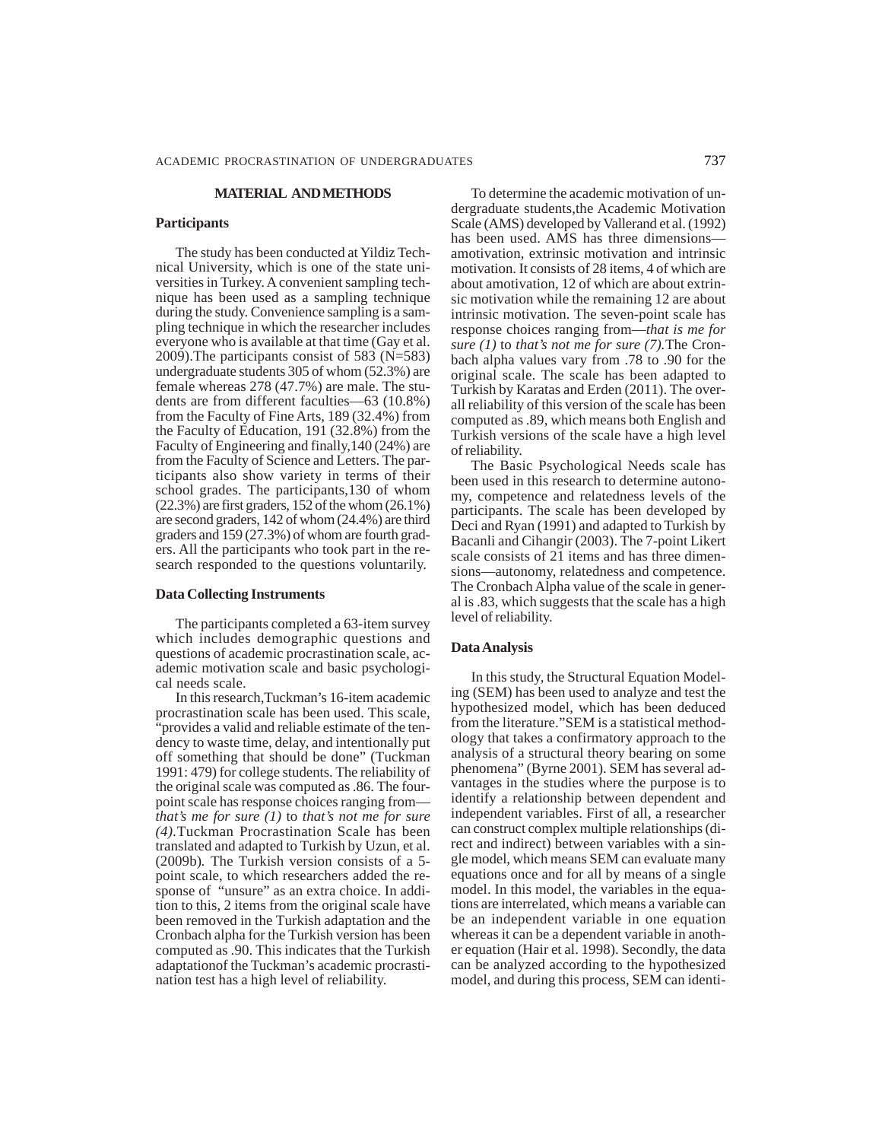#### **MATERIAL AND METHODS**

#### **Participants**

The study has been conducted at Yildiz Technical University, which is one of the state universities in Turkey. A convenient sampling technique has been used as a sampling technique during the study. Convenience sampling is a sampling technique in which the researcher includes everyone who is available at that time (Gay et al. 2009).The participants consist of 583 (N=583) undergraduate students 305 of whom (52.3%) are female whereas 278 (47.7%) are male. The students are from different faculties—63 (10.8%) from the Faculty of Fine Arts, 189 (32.4%) from the Faculty of Education, 191 (32.8%) from the Faculty of Engineering and finally,140 (24%) are from the Faculty of Science and Letters. The participants also show variety in terms of their school grades. The participants,130 of whom  $(22.3\%)$  are first graders, 152 of the whom  $(26.1\%)$ are second graders, 142 of whom (24.4%) are third graders and 159 (27.3%) of whom are fourth graders. All the participants who took part in the research responded to the questions voluntarily.

# **Data Collecting Instruments**

The participants completed a 63-item survey which includes demographic questions and questions of academic procrastination scale, academic motivation scale and basic psychological needs scale.

In this research,Tuckman's 16-item academic procrastination scale has been used. This scale, "provides a valid and reliable estimate of the tendency to waste time, delay, and intentionally put off something that should be done" (Tuckman 1991: 479) for college students. The reliability of the original scale was computed as .86. The fourpoint scale has response choices ranging from *that's me for sure (1)* to *that's not me for sure (4).*Tuckman Procrastination Scale has been translated and adapted to Turkish by Uzun, et al. (2009b)*.* The Turkish version consists of a 5 point scale, to which researchers added the response of "unsure" as an extra choice. In addition to this, 2 items from the original scale have been removed in the Turkish adaptation and the Cronbach alpha for the Turkish version has been computed as .90. This indicates that the Turkish adaptationof the Tuckman's academic procrastination test has a high level of reliability.

To determine the academic motivation of undergraduate students,the Academic Motivation Scale (AMS) developed by Vallerand et al. (1992) has been used. AMS has three dimensions amotivation, extrinsic motivation and intrinsic motivation. It consists of 28 items, 4 of which are about amotivation, 12 of which are about extrinsic motivation while the remaining 12 are about intrinsic motivation. The seven-point scale has response choices ranging from—*that is me for sure (1)* to *that's not me for sure (7).*The Cronbach alpha values vary from .78 to .90 for the original scale. The scale has been adapted to Turkish by Karatas and Erden (2011). The overall reliability of this version of the scale has been computed as .89, which means both English and Turkish versions of the scale have a high level of reliability.

The Basic Psychological Needs scale has been used in this research to determine autonomy, competence and relatedness levels of the participants. The scale has been developed by Deci and Ryan (1991) and adapted to Turkish by Bacanli and Cihangir (2003). The 7-point Likert scale consists of 21 items and has three dimensions—autonomy, relatedness and competence. The Cronbach Alpha value of the scale in general is .83, which suggests that the scale has a high level of reliability.

### **Data Analysis**

In this study, the Structural Equation Modeling (SEM) has been used to analyze and test the hypothesized model, which has been deduced from the literature."SEM is a statistical methodology that takes a confirmatory approach to the analysis of a structural theory bearing on some phenomena" (Byrne 2001). SEM has several advantages in the studies where the purpose is to identify a relationship between dependent and independent variables. First of all, a researcher can construct complex multiple relationships (direct and indirect) between variables with a single model, which means SEM can evaluate many equations once and for all by means of a single model. In this model, the variables in the equations are interrelated, which means a variable can be an independent variable in one equation whereas it can be a dependent variable in another equation (Hair et al. 1998). Secondly, the data can be analyzed according to the hypothesized model, and during this process, SEM can identi-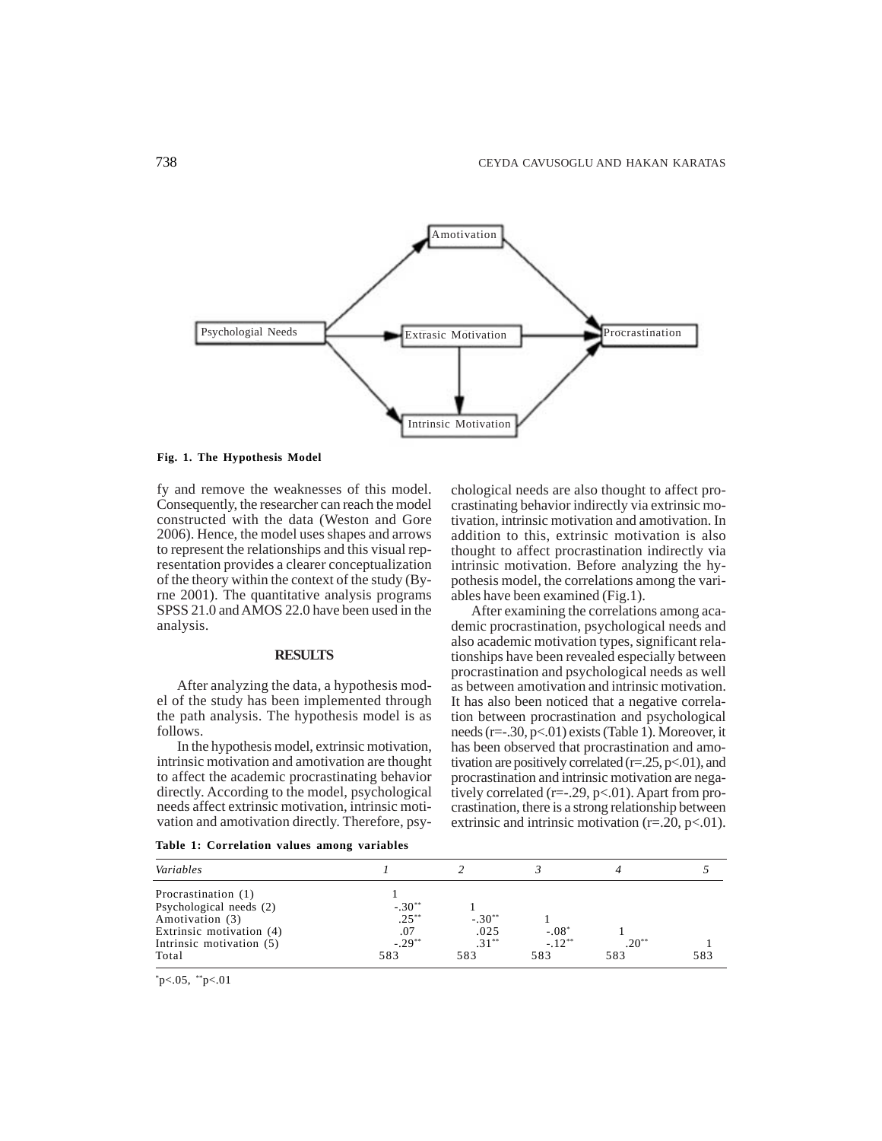

**Fig. 1. The Hypothesis Model**

fy and remove the weaknesses of this model. Consequently, the researcher can reach the model constructed with the data (Weston and Gore 2006). Hence, the model uses shapes and arrows to represent the relationships and this visual representation provides a clearer conceptualization of the theory within the context of the study (Byrne 2001). The quantitative analysis programs SPSS 21.0 and AMOS 22.0 have been used in the analysis.

#### **RESULTS**

After analyzing the data, a hypothesis model of the study has been implemented through the path analysis. The hypothesis model is as follows.

In the hypothesis model, extrinsic motivation, intrinsic motivation and amotivation are thought to affect the academic procrastinating behavior directly. According to the model, psychological needs affect extrinsic motivation, intrinsic motivation and amotivation directly. Therefore, psy-

**Table 1: Correlation values among variables**

chological needs are also thought to affect procrastinating behavior indirectly via extrinsic motivation, intrinsic motivation and amotivation. In addition to this, extrinsic motivation is also thought to affect procrastination indirectly via intrinsic motivation. Before analyzing the hypothesis model, the correlations among the variables have been examined (Fig.1).

After examining the correlations among academic procrastination, psychological needs and also academic motivation types, significant relationships have been revealed especially between procrastination and psychological needs as well as between amotivation and intrinsic motivation. It has also been noticed that a negative correlation between procrastination and psychological needs (r=-.30, p<.01) exists (Table 1). Moreover, it has been observed that procrastination and amotivation are positively correlated  $(r=.25, p<.01)$ , and procrastination and intrinsic motivation are negatively correlated ( $r=-.29$ ,  $p<-.01$ ). Apart from procrastination, there is a strong relationship between extrinsic and intrinsic motivation  $(r=.20, p<.01)$ .

| $-.30**$ |          |           |         |     |
|----------|----------|-----------|---------|-----|
| $.25***$ | $-.30**$ |           |         |     |
| .07      | .025     | $-.08*$   |         |     |
| $-.29**$ | $.31***$ | $-.12***$ | $.20**$ |     |
| 583      | 583      | 583       | 583     | 583 |
|          |          |           |         |     |

 $~^{\circ}p<.05,~^{\circ}p<.01$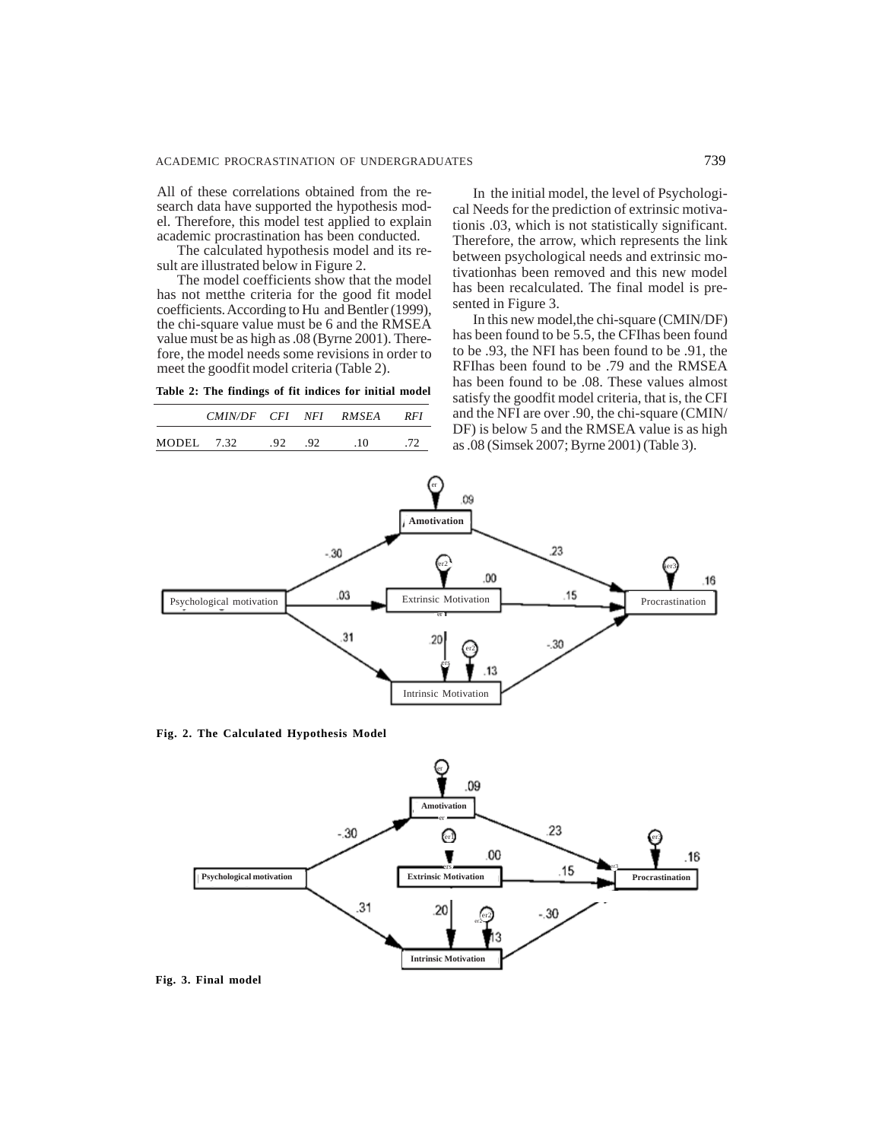All of these correlations obtained from the research data have supported the hypothesis model. Therefore, this model test applied to explain academic procrastination has been conducted.

The calculated hypothesis model and its result are illustrated below in Figure 2.

The model coefficients show that the model has not metthe criteria for the good fit model coefficients. According to Hu and Bentler (1999), the chi-square value must be 6 and the RMSEA value must be as high as .08 (Byrne 2001). Therefore, the model needs some revisions in order to meet the goodfit model criteria (Table 2).

**Table 2: The findings of fit indices for initial model**

*CMIN/DF CFI NFI RMSEA RFI* MODEL 7.32 .92 .92 .10 .72 er Ō9 **Amotivation** 23  $-30$  $\bigcirc$  $.00$ Psychological motivation 15 and 15 and 15 and 15 and 15 and 15 and 15 and 15 and 15 and 15 and 15 and 15 and 15 and 15 and 15 and 15 and 15 and 15 and 15 and 15 and 15 and 15 and 15 and 15 and 15 and 15 and 15 and 15 and 1 er

31

**Fig. 2. The Calculated Hypothesis Model**



ers

Intrinsic Motivation

er2

.13

**Fig. 3. Final model**

In the initial model, the level of Psychological Needs for the prediction of extrinsic motivationis .03, which is not statistically significant. Therefore, the arrow, which represents the link between psychological needs and extrinsic motivationhas been removed and this new model has been recalculated. The final model is presented in Figure 3.

In this new model,the chi-square (CMIN/DF) has been found to be 5.5, the CFIhas been found to be .93, the NFI has been found to be .91, the RFIhas been found to be .79 and the RMSEA has been found to be .08. These values almost satisfy the goodfit model criteria, that is, the CFI and the NFI are over .90, the chi-square (CMIN/ DF) is below 5 and the RMSEA value is as high as .08 (Simsek 2007; Byrne 2001) (Table 3).

 $-30$ 

er3

16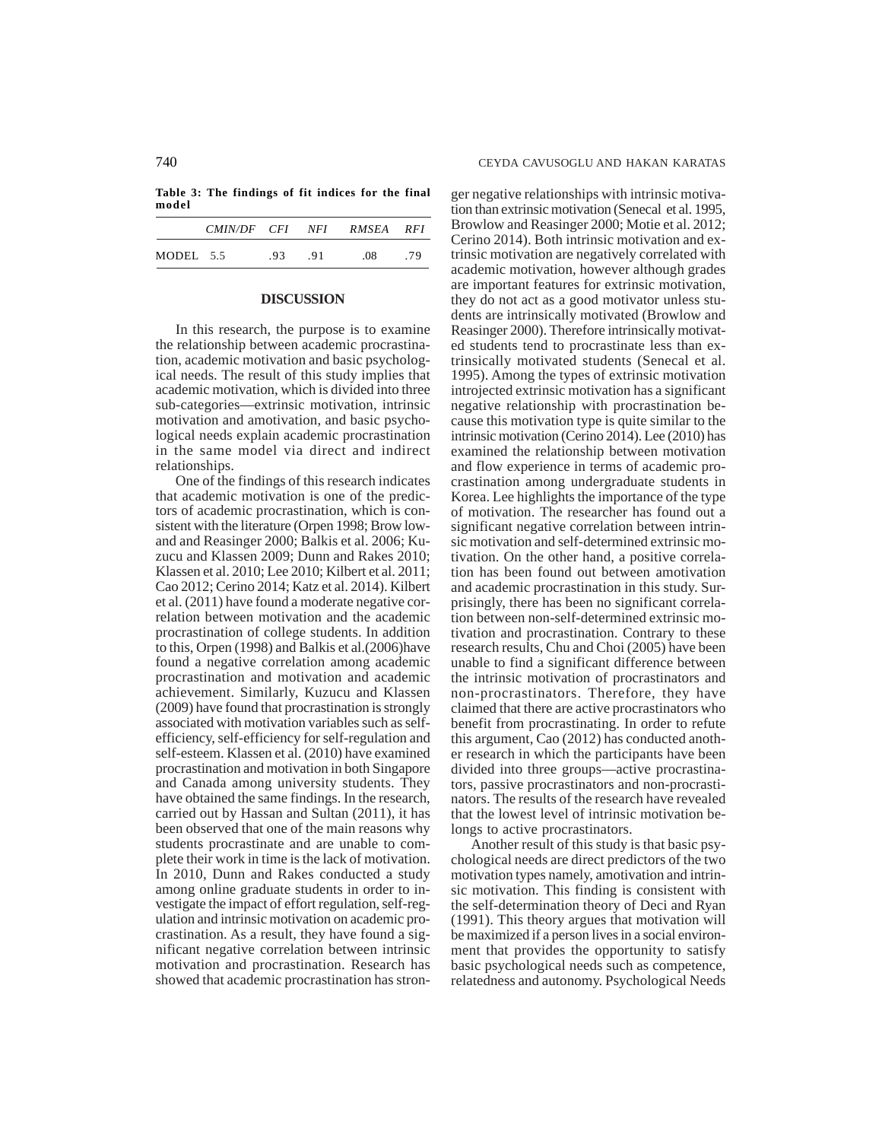**Table 3: The findings of fit indices for the final model**

|           | <i>CMIN/DF CFI</i> |     | NFI | RMSEA | R F I |
|-----------|--------------------|-----|-----|-------|-------|
| MODEL 5.5 |                    | .93 | .91 | .08   | 79    |

### **DISCUSSION**

In this research, the purpose is to examine the relationship between academic procrastination, academic motivation and basic psychological needs. The result of this study implies that academic motivation, which is divided into three sub-categories—extrinsic motivation, intrinsic motivation and amotivation, and basic psychological needs explain academic procrastination in the same model via direct and indirect relationships.

One of the findings of this research indicates that academic motivation is one of the predictors of academic procrastination, which is consistent with the literature (Orpen 1998; Brow lowand and Reasinger 2000; Balkis et al. 2006; Kuzucu and Klassen 2009; Dunn and Rakes 2010; Klassen et al. 2010; Lee 2010; Kilbert et al. 2011; Cao 2012; Cerino 2014; Katz et al. 2014). Kilbert et al. (2011) have found a moderate negative correlation between motivation and the academic procrastination of college students. In addition to this, Orpen (1998) and Balkis et al.(2006)have found a negative correlation among academic procrastination and motivation and academic achievement. Similarly, Kuzucu and Klassen (2009) have found that procrastination is strongly associated with motivation variables such as selfefficiency, self-efficiency for self-regulation and self-esteem. Klassen et al. (2010) have examined procrastination and motivation in both Singapore and Canada among university students. They have obtained the same findings. In the research, carried out by Hassan and Sultan (2011), it has been observed that one of the main reasons why students procrastinate and are unable to complete their work in time is the lack of motivation. In 2010, Dunn and Rakes conducted a study among online graduate students in order to investigate the impact of effort regulation, self-regulation and intrinsic motivation on academic procrastination. As a result, they have found a significant negative correlation between intrinsic motivation and procrastination. Research has showed that academic procrastination has stronger negative relationships with intrinsic motivation than extrinsic motivation (Senecal et al. 1995, Browlow and Reasinger 2000; Motie et al. 2012; Cerino 2014). Both intrinsic motivation and extrinsic motivation are negatively correlated with academic motivation, however although grades are important features for extrinsic motivation, they do not act as a good motivator unless students are intrinsically motivated (Browlow and Reasinger 2000). Therefore intrinsically motivated students tend to procrastinate less than extrinsically motivated students (Senecal et al. 1995). Among the types of extrinsic motivation introjected extrinsic motivation has a significant negative relationship with procrastination because this motivation type is quite similar to the intrinsic motivation (Cerino 2014). Lee (2010) has examined the relationship between motivation and flow experience in terms of academic procrastination among undergraduate students in Korea. Lee highlights the importance of the type of motivation. The researcher has found out a significant negative correlation between intrinsic motivation and self-determined extrinsic motivation. On the other hand, a positive correlation has been found out between amotivation and academic procrastination in this study. Surprisingly, there has been no significant correlation between non-self-determined extrinsic motivation and procrastination. Contrary to these research results, Chu and Choi (2005) have been unable to find a significant difference between the intrinsic motivation of procrastinators and non-procrastinators. Therefore, they have claimed that there are active procrastinators who benefit from procrastinating. In order to refute this argument, Cao (2012) has conducted another research in which the participants have been divided into three groups—active procrastinators, passive procrastinators and non-procrastinators. The results of the research have revealed that the lowest level of intrinsic motivation belongs to active procrastinators.

Another result of this study is that basic psychological needs are direct predictors of the two motivation types namely, amotivation and intrinsic motivation. This finding is consistent with the self-determination theory of Deci and Ryan (1991). This theory argues that motivation will be maximized if a person lives in a social environment that provides the opportunity to satisfy basic psychological needs such as competence, relatedness and autonomy. Psychological Needs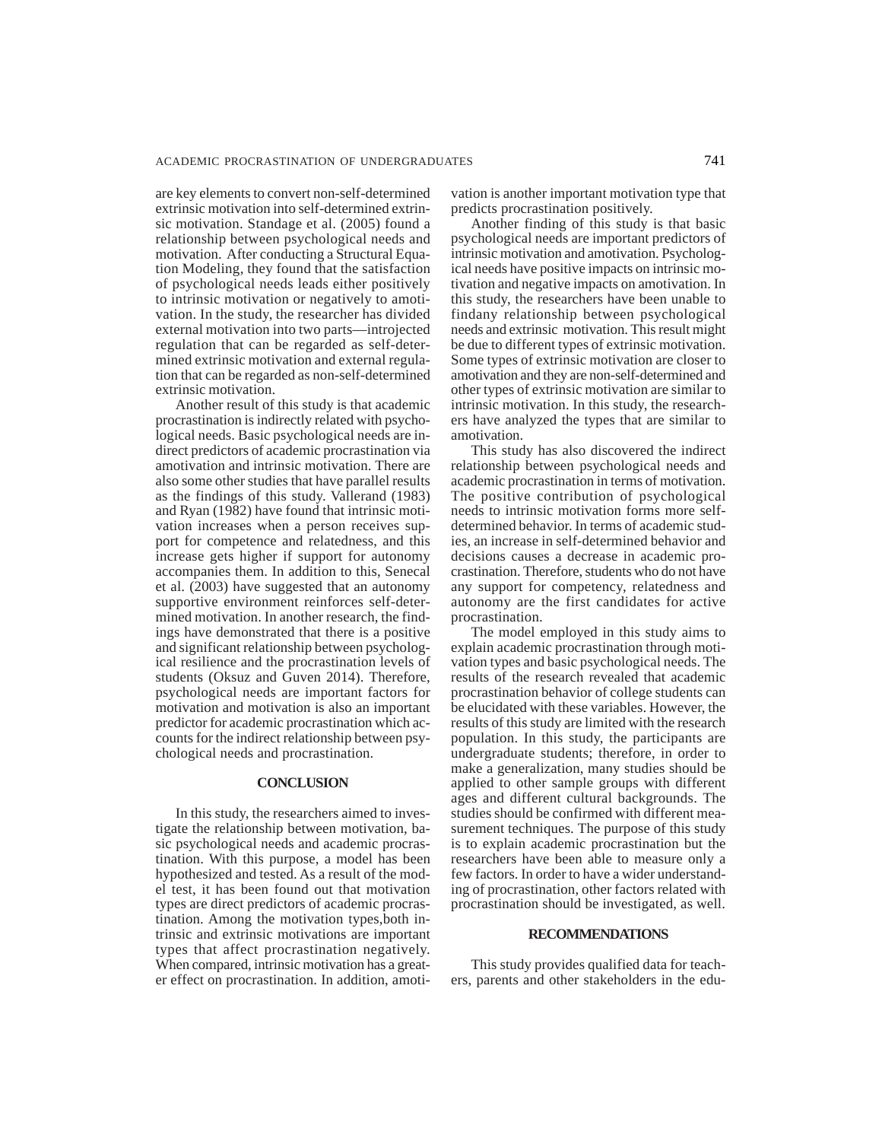are key elements to convert non-self-determined extrinsic motivation into self-determined extrinsic motivation. Standage et al. (2005) found a relationship between psychological needs and motivation. After conducting a Structural Equation Modeling, they found that the satisfaction of psychological needs leads either positively to intrinsic motivation or negatively to amotivation. In the study, the researcher has divided external motivation into two parts—introjected regulation that can be regarded as self-determined extrinsic motivation and external regulation that can be regarded as non-self-determined extrinsic motivation.

Another result of this study is that academic procrastination is indirectly related with psychological needs. Basic psychological needs are indirect predictors of academic procrastination via amotivation and intrinsic motivation. There are also some other studies that have parallel results as the findings of this study. Vallerand (1983) and Ryan (1982) have found that intrinsic motivation increases when a person receives support for competence and relatedness, and this increase gets higher if support for autonomy accompanies them. In addition to this, Senecal et al. (2003) have suggested that an autonomy supportive environment reinforces self-determined motivation. In another research, the findings have demonstrated that there is a positive and significant relationship between psychological resilience and the procrastination levels of students (Oksuz and Guven 2014). Therefore, psychological needs are important factors for motivation and motivation is also an important predictor for academic procrastination which accounts for the indirect relationship between psychological needs and procrastination.

#### **CONCLUSION**

In this study, the researchers aimed to investigate the relationship between motivation, basic psychological needs and academic procrastination. With this purpose, a model has been hypothesized and tested. As a result of the model test, it has been found out that motivation types are direct predictors of academic procrastination. Among the motivation types,both intrinsic and extrinsic motivations are important types that affect procrastination negatively. When compared, intrinsic motivation has a greater effect on procrastination. In addition, amotivation is another important motivation type that predicts procrastination positively.

Another finding of this study is that basic psychological needs are important predictors of intrinsic motivation and amotivation. Psychological needs have positive impacts on intrinsic motivation and negative impacts on amotivation. In this study, the researchers have been unable to findany relationship between psychological needs and extrinsic motivation. This result might be due to different types of extrinsic motivation. Some types of extrinsic motivation are closer to amotivation and they are non-self-determined and other types of extrinsic motivation are similar to intrinsic motivation. In this study, the researchers have analyzed the types that are similar to amotivation.

This study has also discovered the indirect relationship between psychological needs and academic procrastination in terms of motivation. The positive contribution of psychological needs to intrinsic motivation forms more selfdetermined behavior. In terms of academic studies, an increase in self-determined behavior and decisions causes a decrease in academic procrastination. Therefore, students who do not have any support for competency, relatedness and autonomy are the first candidates for active procrastination.

The model employed in this study aims to explain academic procrastination through motivation types and basic psychological needs. The results of the research revealed that academic procrastination behavior of college students can be elucidated with these variables. However, the results of this study are limited with the research population. In this study, the participants are undergraduate students; therefore, in order to make a generalization, many studies should be applied to other sample groups with different ages and different cultural backgrounds. The studies should be confirmed with different measurement techniques. The purpose of this study is to explain academic procrastination but the researchers have been able to measure only a few factors. In order to have a wider understanding of procrastination, other factors related with procrastination should be investigated, as well.

#### **RECOMMENDATIONS**

This study provides qualified data for teachers, parents and other stakeholders in the edu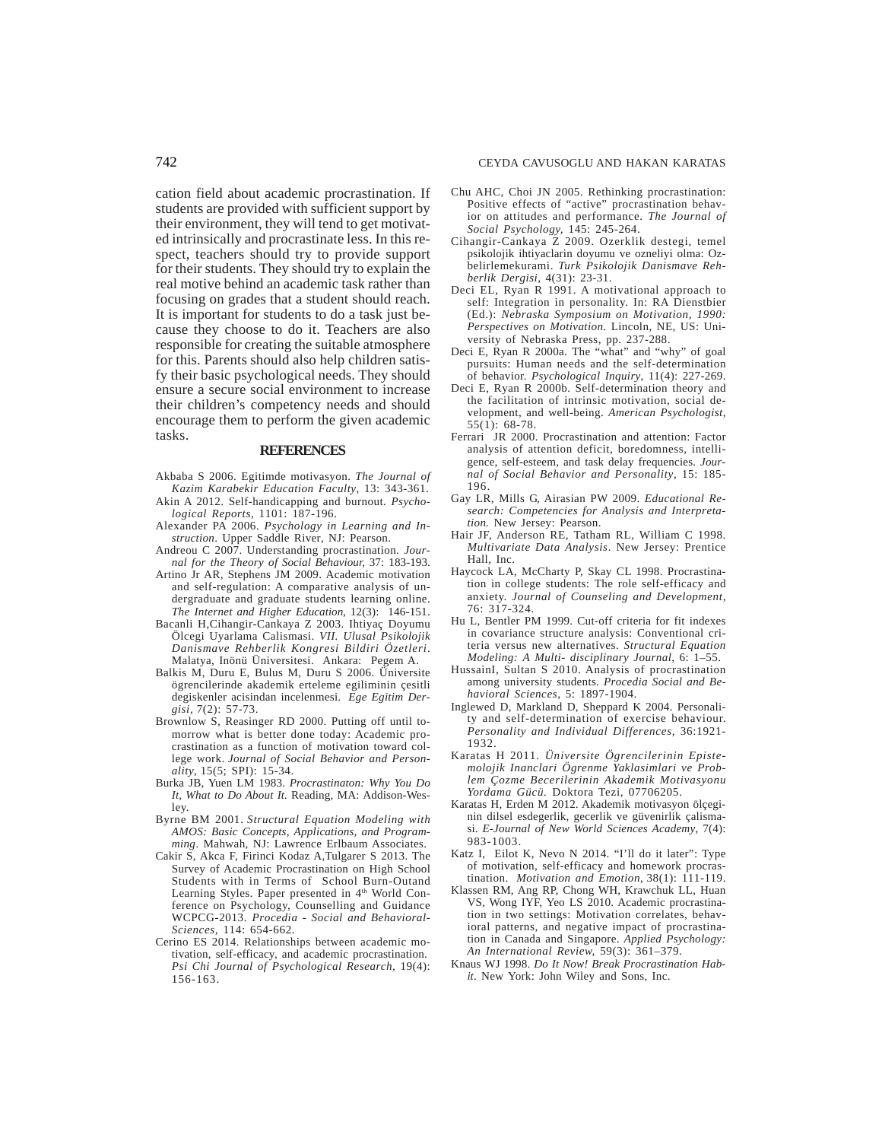cation field about academic procrastination. If students are provided with sufficient support by their environment, they will tend to get motivated intrinsically and procrastinate less. In this respect, teachers should try to provide support for their students. They should try to explain the real motive behind an academic task rather than focusing on grades that a student should reach. It is important for students to do a task just because they choose to do it. Teachers are also responsible for creating the suitable atmosphere for this. Parents should also help children satisfy their basic psychological needs. They should ensure a secure social environment to increase their children's competency needs and should encourage them to perform the given academic tasks.

#### **REFERENCES**

- Akbaba S 2006. Egitimde motivasyon. *The Journal of Kazim Karabekir Education Faculty*, 13: 343-361.
- Akin A 2012. Self-handicapping and burnout. *Psychological Reports,* 1101: 187-196.
- Alexander PA 2006. *Psychology in Learning and Instruction*. Upper Saddle River, NJ: Pearson.
- Andreou C 2007. Understanding procrastination. *Journal for the Theory of Social Behaviour,* 37: 183-193.
- Artino Jr AR, Stephens JM 2009. Academic motivation and self-regulation: A comparative analysis of undergraduate and graduate students learning online. *The Internet and Higher Education*, 12(3): 146-151.
- Bacanli H,Cihangir-Cankaya Z 2003. Ihtiyaç Doyumu Ölcegi Uyarlama Calismasi. *VII. Ulusal Psikolojik Danismave Rehberlik Kongresi Bildiri Özetleri*. Malatya, Inönü Üniversitesi. Ankara: Pegem A.
- Balkis M, Duru E, Bulus M, Duru S 2006. Üniversite ögrencilerinde akademik erteleme egiliminin çesitli degiskenler acisindan incelenmesi. *Ege Egitim Dergisi*, 7(2): 57-73.
- Brownlow S, Reasinger RD 2000. Putting off until tomorrow what is better done today: Academic procrastination as a function of motivation toward college work. *Journal of Social Behavior and Personality*, 15(5; SPI): 15-34.
- Burka JB, Yuen LM 1983. *Procrastinaton: Why You Do It, What to Do About It.* Reading, MA: Addison-Wesley.
- Byrne BM 2001. *Structural Equation Modeling with AMOS: Basic Concepts, Applications, and Programming*. Mahwah, NJ: Lawrence Erlbaum Associates.
- Cakir S, Akca F, Firinci Kodaz A,Tulgarer S 2013. The Survey of Academic Procrastination on High School Students with in Terms of School Burn-Outand Learning Styles. Paper presented in 4th World Conference on Psychology, Counselling and Guidance WCPCG-2013. *Procedia - Social and Behavioral-Sciences,* 114: 654-662.
- Cerino ES 2014. Relationships between academic motivation, self-efficacy, and academic procrastination. *Psi Chi Journal of Psychological Research*, 19(4): 156-163.
- Chu AHC, Choi JN 2005. Rethinking procrastination: Positive effects of "active" procrastination behavior on attitudes and performance. *The Journal of Social Psychology,* 145: 245-264.
- Cihangir-Cankaya Z 2009. Ozerklik destegi, temel psikolojik ihtiyaclarin doyumu ve ozneliyi olma: Ozbelirlemekurami. *Turk Psikolojik Danismave Rehberlik Dergisi,* 4(31): 23-31.
- Deci EL, Ryan R 1991. A motivational approach to self: Integration in personality. In: RA Dienstbier (Ed.): *Nebraska Symposium on Motivation, 1990: Perspectives on Motivation.* Lincoln, NE, US: University of Nebraska Press, pp. 237-288.
- Deci E, Ryan R 2000a. The "what" and "why" of goal pursuits: Human needs and the self-determination of behavior. *Psychological Inquiry*, 11(4): 227-269.
- Deci E, Ryan R 2000b. Self-determination theory and the facilitation of intrinsic motivation, social development, and well-being. *American Psychologist,*  $55(1): 68-78.$
- Ferrari JR 2000. Procrastination and attention: Factor analysis of attention deficit, boredomness, intelligence, self-esteem, and task delay frequencies. *Journal of Social Behavior and Personality*, 15: 185- 196.
- Gay LR, Mills G, Airasian PW 2009. *Educational Research: Competencies for Analysis and Interpretation.* New Jersey: Pearson.
- Hair JF, Anderson RE, Tatham RL, William C 1998. *Multivariate Data Analysis*. New Jersey: Prentice Hall, Inc.
- Haycock LA, McCharty P, Skay CL 1998. Procrastination in college students: The role self-efficacy and anxiety. *Journal of Counseling and Development,* 76: 317-324.
- Hu L, Bentler PM 1999. Cut-off criteria for fit indexes in covariance structure analysis: Conventional criteria versus new alternatives. *Structural Equation Modeling: A Multi- disciplinary Journal,* 6: 1–55.
- HussainI, Sultan S 2010. Analysis of procrastination among university students. *Procedia Social and Behavioral Sciences,* 5: 1897-1904.
- Inglewed D, Markland D, Sheppard K 2004. Personality and self-determination of exercise behaviour. *Personality and Individual Differences,* 36:1921- 1932.
- Karatas H 2011. *Üniversite Ögrencilerinin Epistemolojik Inanclari Ögrenme Yaklasimlari ve Problem Çozme Becerilerinin Akademik Motivasyonu Yordama Gücü.* Doktora Tezi, 07706205.
- Karatas H, Erden M 2012. Akademik motivasyon ölçeginin dilsel esdegerlik, gecerlik ve güvenirlik çalismasi. *E-Journal of New World Sciences Academy*, 7(4): 983-1003.
- Katz I, Eilot K, Nevo N 2014. "I'll do it later": Type of motivation, self-efficacy and homework procrastination. *Motivation and Emotion*, 38(1): 111-119.
- Klassen RM, Ang RP, Chong WH, Krawchuk LL, Huan VS, Wong IYF, Yeo LS 2010. Academic procrastination in two settings: Motivation correlates, behavioral patterns, and negative impact of procrastination in Canada and Singapore. *Applied Psychology: An International Review,* 59(3): 361–379.
- Knaus WJ 1998. *Do It Now! Break Procrastination Habit*. New York: John Wiley and Sons, Inc.